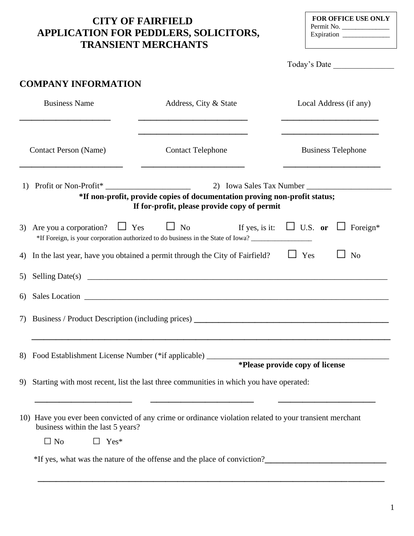## **CITY OF FAIRFIELD APPLICATION FOR PEDDLERS, SOLICITORS, TRANSIENT MERCHANTS**

| <b>FOR OFFICE USE ONLY</b> |  |  |  |
|----------------------------|--|--|--|
| Permit No.                 |  |  |  |
| Expiration                 |  |  |  |

|                                                          |                                                                                                                                                                                  | Today's Date                    |  |
|----------------------------------------------------------|----------------------------------------------------------------------------------------------------------------------------------------------------------------------------------|---------------------------------|--|
| <b>COMPANY INFORMATION</b>                               |                                                                                                                                                                                  |                                 |  |
| <b>Business Name</b>                                     | Address, City & State                                                                                                                                                            | Local Address (if any)          |  |
| <b>Contact Person (Name)</b><br><b>Contact Telephone</b> |                                                                                                                                                                                  | <b>Business Telephone</b>       |  |
|                                                          | *If non-profit, provide copies of documentation proving non-profit status;<br>If for-profit, please provide copy of permit                                                       |                                 |  |
|                                                          | 3) Are you a corporation? $\Box$ Yes $\Box$ No If yes, is it: $\Box$ U.S. or $\Box$ Foreign*<br>*If Foreign, is your corporation authorized to do business in the State of Iowa? |                                 |  |
|                                                          | 4) In the last year, have you obtained a permit through the City of Fairfield?                                                                                                   | $\Box$ Yes<br>N <sub>o</sub>    |  |
|                                                          |                                                                                                                                                                                  |                                 |  |
| 6)                                                       | Sales Location entrepreneur and the sales Location entrepreneur and the sales Location                                                                                           |                                 |  |
|                                                          | 7) Business / Product Description (including prices)                                                                                                                             |                                 |  |
| 8) Food Establishment License Number (*if applicable)    |                                                                                                                                                                                  |                                 |  |
|                                                          | 9) Starting with most recent, list the last three communities in which you have operated:                                                                                        | *Please provide copy of license |  |
| business within the last 5 years?                        | 10) Have you ever been convicted of any crime or ordinance violation related to your transient merchant                                                                          |                                 |  |
| $\Box$ No<br>$\Box$ Yes*                                 |                                                                                                                                                                                  |                                 |  |
|                                                          | *If yes, what was the nature of the offense and the place of conviction?<br>The same state of the state and the place of conviction?                                             |                                 |  |

 $\frac{1}{2}$  , and the contribution of the contribution of the contribution of the contribution of the contribution of the contribution of the contribution of the contribution of the contribution of the contribution of the c